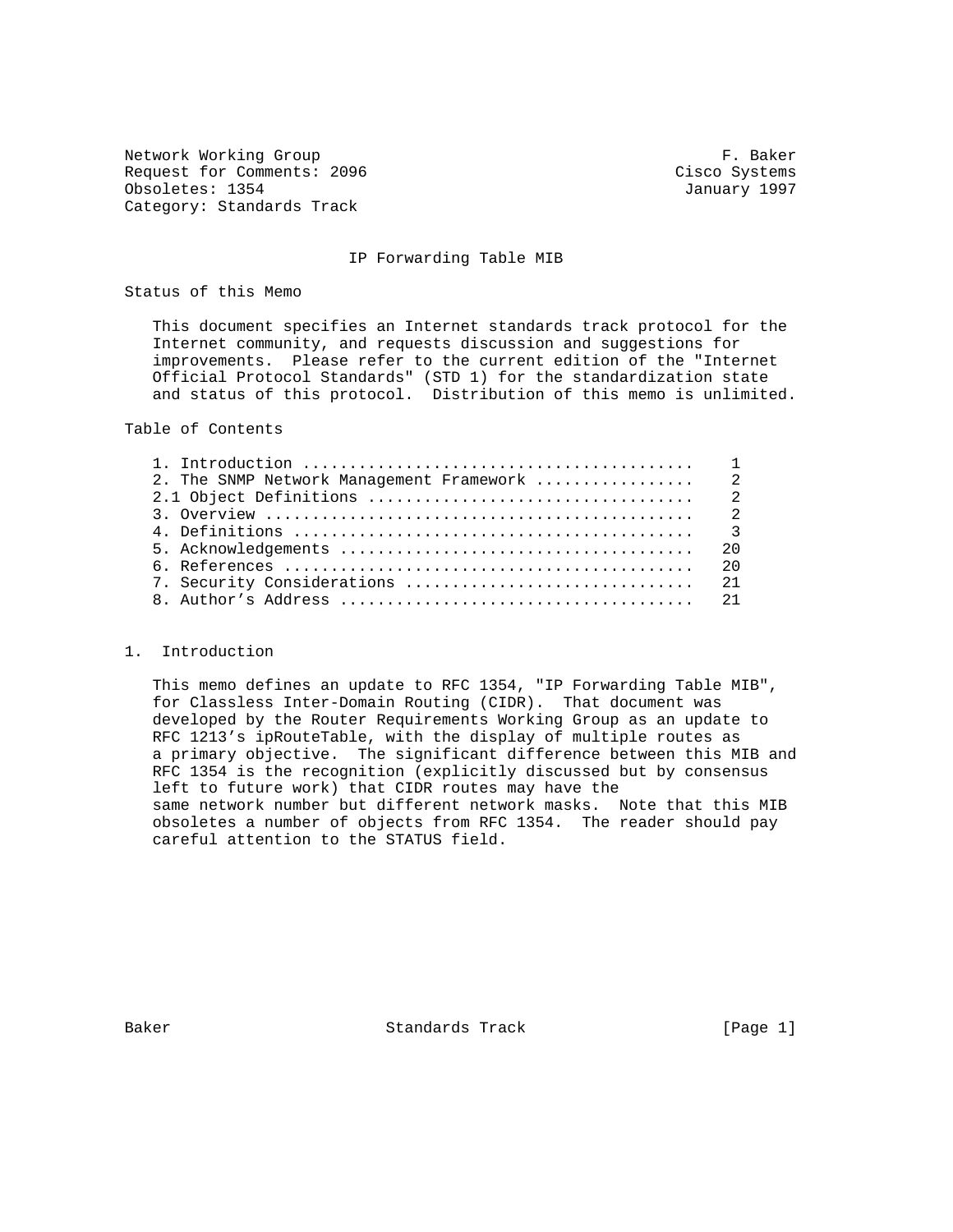Network Working Group **F. Baker** Request for Comments: 2096 Cisco Systems Obsoletes: 1354 January 1997 Category: Standards Track

## IP Forwarding Table MIB

Status of this Memo

 This document specifies an Internet standards track protocol for the Internet community, and requests discussion and suggestions for improvements. Please refer to the current edition of the "Internet Official Protocol Standards" (STD 1) for the standardization state and status of this protocol. Distribution of this memo is unlimited.

Table of Contents

| 20 |
|----|
|    |
|    |
|    |

### 1. Introduction

 This memo defines an update to RFC 1354, "IP Forwarding Table MIB", for Classless Inter-Domain Routing (CIDR). That document was developed by the Router Requirements Working Group as an update to RFC 1213's ipRouteTable, with the display of multiple routes as a primary objective. The significant difference between this MIB and RFC 1354 is the recognition (explicitly discussed but by consensus left to future work) that CIDR routes may have the same network number but different network masks. Note that this MIB obsoletes a number of objects from RFC 1354. The reader should pay careful attention to the STATUS field.

Baker Standards Track [Page 1]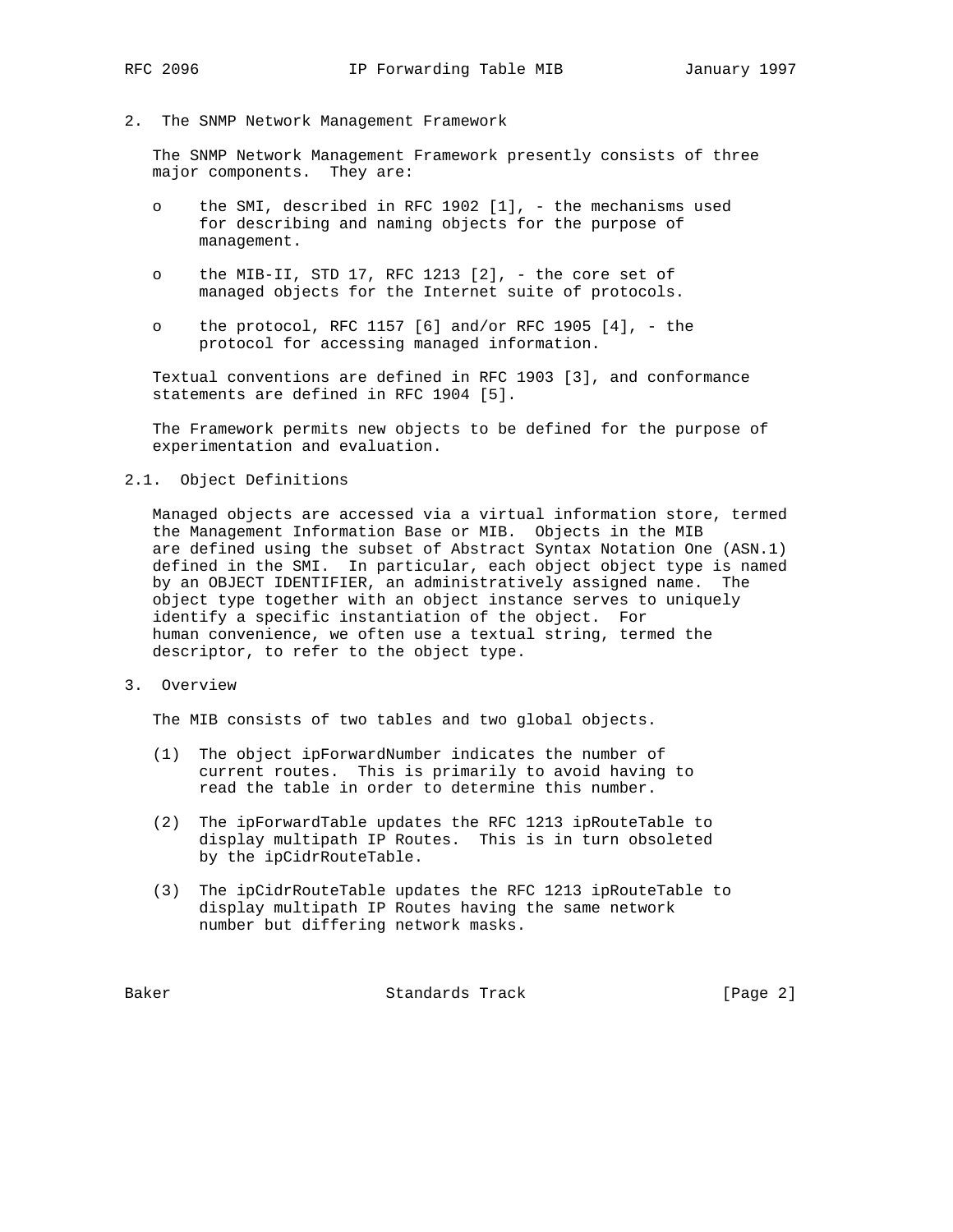2. The SNMP Network Management Framework

 The SNMP Network Management Framework presently consists of three major components. They are:

- o the SMI, described in RFC 1902 [1], the mechanisms used for describing and naming objects for the purpose of management.
- o the MIB-II, STD 17, RFC 1213 [2], the core set of managed objects for the Internet suite of protocols.
- o the protocol, RFC 1157  $[6]$  and/or RFC 1905  $[4]$ , the protocol for accessing managed information.

 Textual conventions are defined in RFC 1903 [3], and conformance statements are defined in RFC 1904 [5].

 The Framework permits new objects to be defined for the purpose of experimentation and evaluation.

## 2.1. Object Definitions

 Managed objects are accessed via a virtual information store, termed the Management Information Base or MIB. Objects in the MIB are defined using the subset of Abstract Syntax Notation One (ASN.1) defined in the SMI. In particular, each object object type is named by an OBJECT IDENTIFIER, an administratively assigned name. The object type together with an object instance serves to uniquely identify a specific instantiation of the object. For human convenience, we often use a textual string, termed the descriptor, to refer to the object type.

3. Overview

The MIB consists of two tables and two global objects.

- (1) The object ipForwardNumber indicates the number of current routes. This is primarily to avoid having to read the table in order to determine this number.
- (2) The ipForwardTable updates the RFC 1213 ipRouteTable to display multipath IP Routes. This is in turn obsoleted by the ipCidrRouteTable.
- (3) The ipCidrRouteTable updates the RFC 1213 ipRouteTable to display multipath IP Routes having the same network number but differing network masks.

Baker Standards Track [Page 2]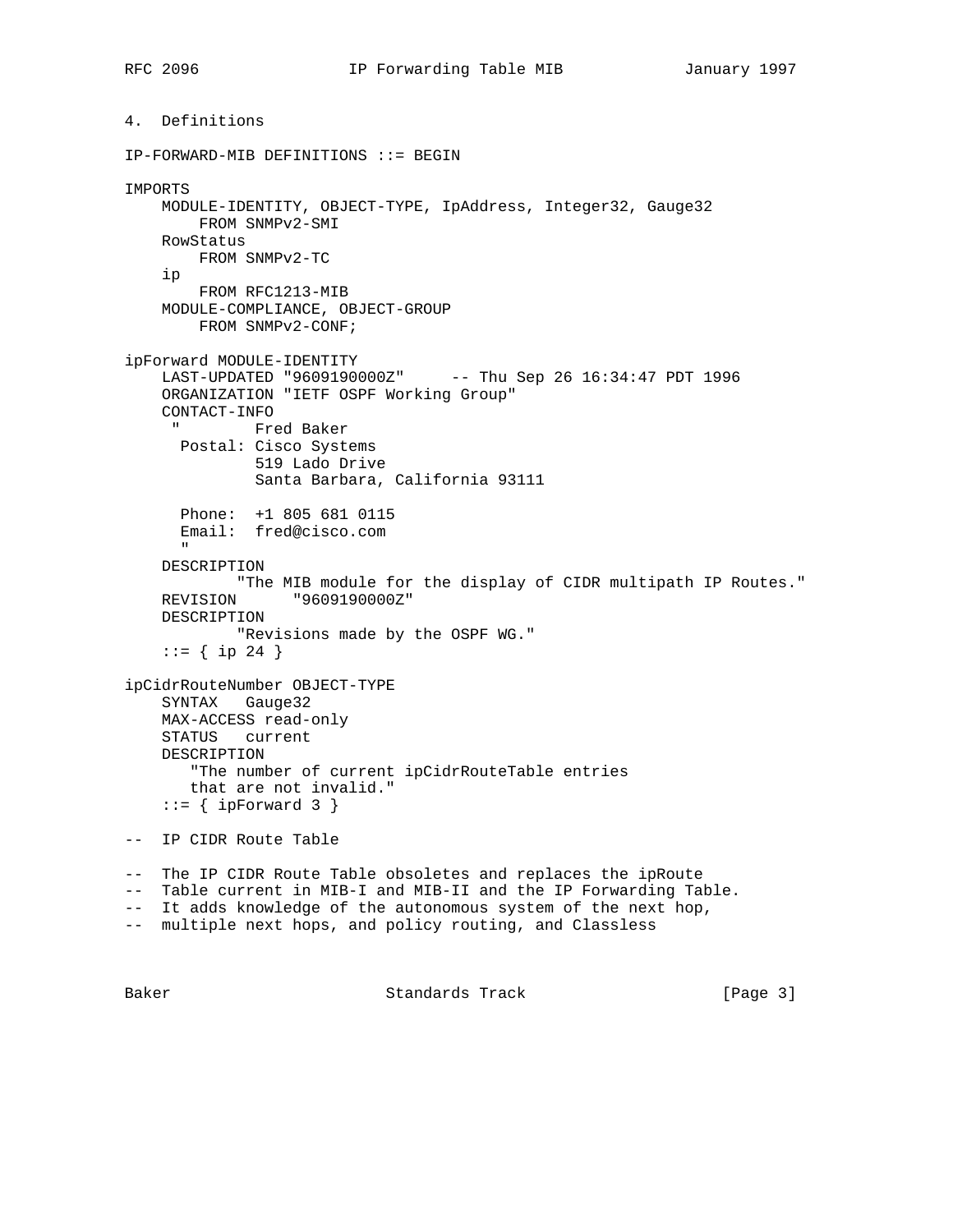```
4. Definitions
IP-FORWARD-MIB DEFINITIONS ::= BEGIN
IMPORTS
    MODULE-IDENTITY, OBJECT-TYPE, IpAddress, Integer32, Gauge32
        FROM SNMPv2-SMI
    RowStatus
        FROM SNMPv2-TC
     ip
        FROM RFC1213-MIB
    MODULE-COMPLIANCE, OBJECT-GROUP
        FROM SNMPv2-CONF;
ipForward MODULE-IDENTITY
     LAST-UPDATED "9609190000Z" -- Thu Sep 26 16:34:47 PDT 1996
     ORGANIZATION "IETF OSPF Working Group"
   CONTACT-INFO$\tt " " Fred Baker
      Postal: Cisco Systems
              519 Lado Drive
               Santa Barbara, California 93111
      Phone: +1 805 681 0115
      Email: fred@cisco.com
 "
     DESCRIPTION
            "The MIB module for the display of CIDR multipath IP Routes."
    REVISION "9609190000Z"
    DESCRIPTION
             "Revisions made by the OSPF WG."
    ::= \{ \text{ip } 24 \}ipCidrRouteNumber OBJECT-TYPE
    SYNTAX Gauge32
    MAX-ACCESS read-only
    STATUS current
    DESCRIPTION
        "The number of current ipCidrRouteTable entries
       that are not invalid."
    ::= { ipForward 3 }
-- IP CIDR Route Table
-- The IP CIDR Route Table obsoletes and replaces the ipRoute
-- Table current in MIB-I and MIB-II and the IP Forwarding Table.
-- It adds knowledge of the autonomous system of the next hop,
-- multiple next hops, and policy routing, and Classless
```
Baker Standards Track [Page 3]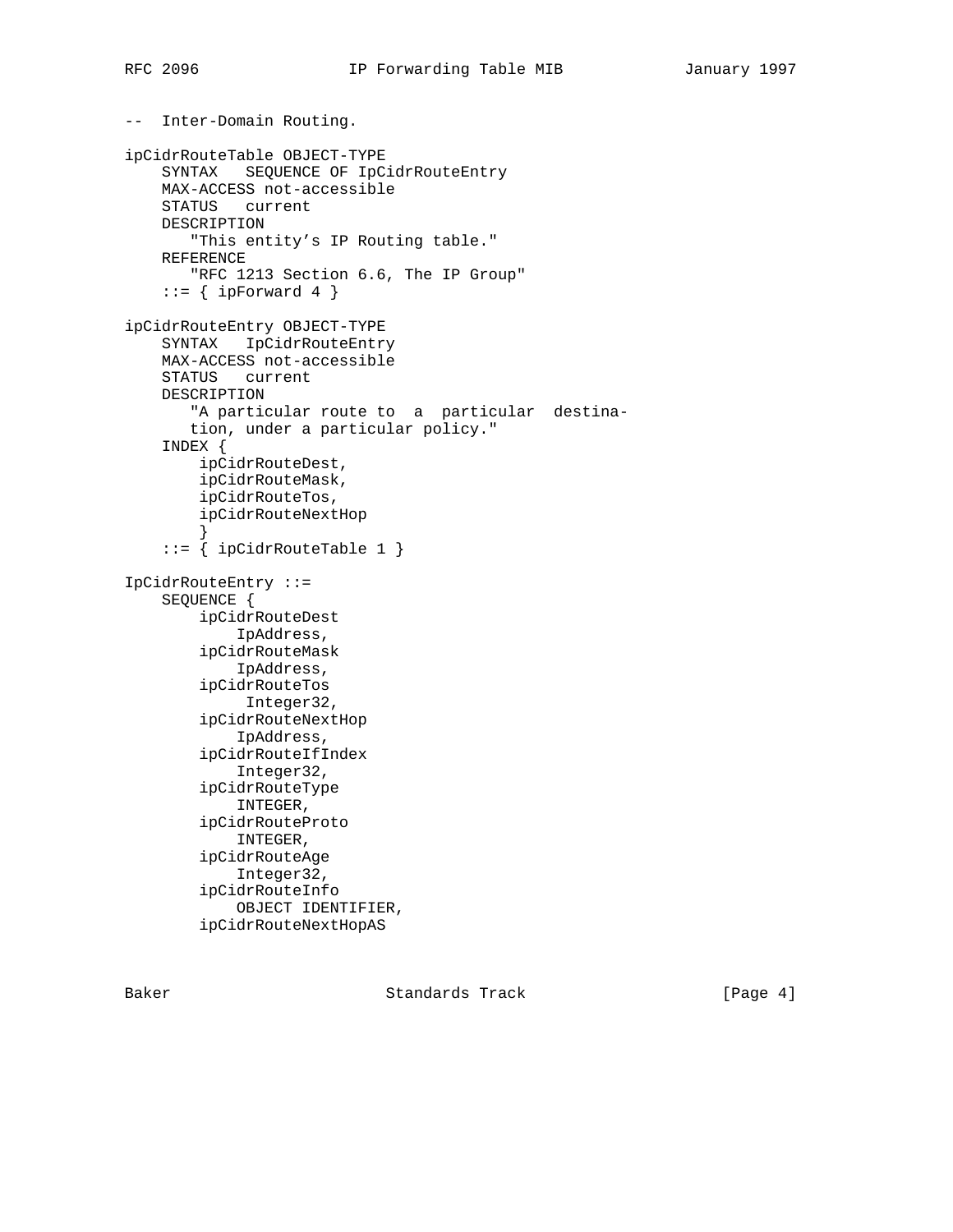```
-- Inter-Domain Routing.
ipCidrRouteTable OBJECT-TYPE
     SYNTAX SEQUENCE OF IpCidrRouteEntry
     MAX-ACCESS not-accessible
     STATUS current
    DESCRIPTION
        "This entity's IP Routing table."
     REFERENCE
        "RFC 1213 Section 6.6, The IP Group"
    ::= { ipForward 4 }
ipCidrRouteEntry OBJECT-TYPE
     SYNTAX IpCidrRouteEntry
     MAX-ACCESS not-accessible
     STATUS current
     DESCRIPTION
        "A particular route to a particular destina-
        tion, under a particular policy."
     INDEX {
         ipCidrRouteDest,
         ipCidrRouteMask,
         ipCidrRouteTos,
         ipCidrRouteNextHop
 }
     ::= { ipCidrRouteTable 1 }
IpCidrRouteEntry ::=
     SEQUENCE {
         ipCidrRouteDest
             IpAddress,
         ipCidrRouteMask
             IpAddress,
         ipCidrRouteTos
              Integer32,
         ipCidrRouteNextHop
             IpAddress,
         ipCidrRouteIfIndex
             Integer32,
         ipCidrRouteType
             INTEGER,
         ipCidrRouteProto
             INTEGER,
         ipCidrRouteAge
             Integer32,
         ipCidrRouteInfo
             OBJECT IDENTIFIER,
         ipCidrRouteNextHopAS
```
Baker Standards Track [Page 4]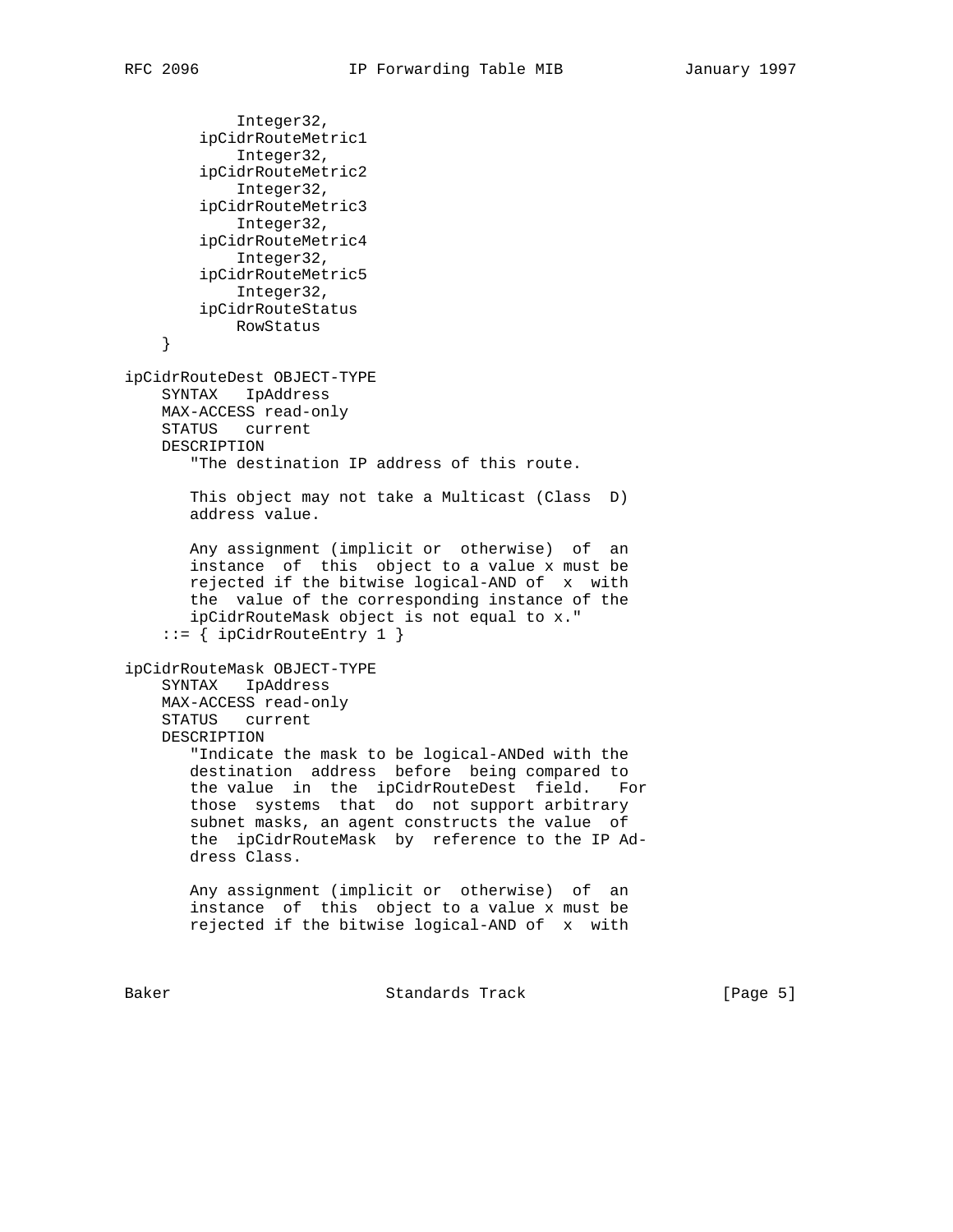```
 Integer32,
         ipCidrRouteMetric1
             Integer32,
         ipCidrRouteMetric2
            Integer32,
        ipCidrRouteMetric3
            Integer32,
         ipCidrRouteMetric4
            Integer32,
        ipCidrRouteMetric5
            Integer32,
        ipCidrRouteStatus
            RowStatus
     }
ipCidrRouteDest OBJECT-TYPE
    SYNTAX IpAddress
    MAX-ACCESS read-only
    STATUS current
    DESCRIPTION
        "The destination IP address of this route.
       This object may not take a Multicast (Class D)
       address value.
       Any assignment (implicit or otherwise) of an
       instance of this object to a value x must be
       rejected if the bitwise logical-AND of x with
       the value of the corresponding instance of the
       ipCidrRouteMask object is not equal to x."
     ::= { ipCidrRouteEntry 1 }
ipCidrRouteMask OBJECT-TYPE
     SYNTAX IpAddress
    MAX-ACCESS read-only
    STATUS current
    DESCRIPTION
        "Indicate the mask to be logical-ANDed with the
       destination address before being compared to
       the value in the ipCidrRouteDest field. For
       those systems that do not support arbitrary
       subnet masks, an agent constructs the value of
       the ipCidrRouteMask by reference to the IP Ad-
       dress Class.
       Any assignment (implicit or otherwise) of an
       instance of this object to a value x must be
       rejected if the bitwise logical-AND of x with
```
Baker Standards Track [Page 5]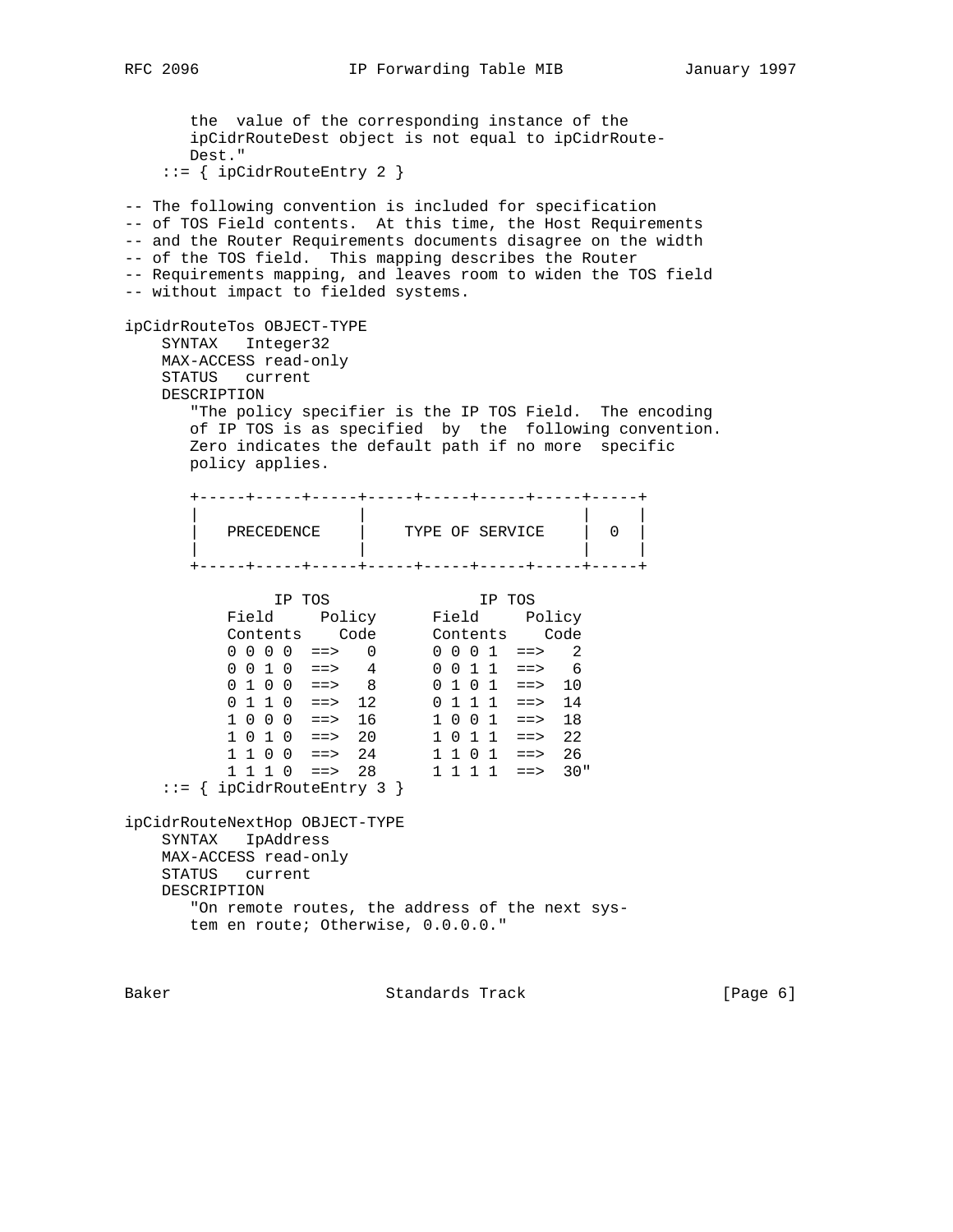the value of the corresponding instance of the ipCidrRouteDest object is not equal to ipCidrRoute- Dest." ::= { ipCidrRouteEntry 2 } -- The following convention is included for specification -- of TOS Field contents. At this time, the Host Requirements -- and the Router Requirements documents disagree on the width -- of the TOS field. This mapping describes the Router -- Requirements mapping, and leaves room to widen the TOS field -- without impact to fielded systems. ipCidrRouteTos OBJECT-TYPE SYNTAX Integer32 MAX-ACCESS read-only STATUS current DESCRIPTION "The policy specifier is the IP TOS Field. The encoding of IP TOS is as specified by the following convention. Zero indicates the default path if no more specific policy applies. +-----+-----+-----+-----+-----+-----+-----+-----+ | | | | | PRECEDENCE | TYPE OF SERVICE | 0 | | | | | +-----+-----+-----+-----+-----+-----+-----+-----+ IP TOS IP TOS Field Policy Field Policy Contents Code Contents Code  $0 \t0 \t0 \t0 \t1 \t= > 0$  0 0 0 1 ==> 2 0 0 1 0 ==> 4 0 0 1 1 ==> 6  $0 1 0 0$  ==> 8 0 1 0 1 ==> 10 0 1 1 0 ==> 12 0 1 1 1 ==> 14 1 0 0 0 ==> 16 1 0 0 1 ==> 18 1 0 1 0 ==> 20 1 0 1 1 ==> 22 1 1 0 0 ==> 24 1 1 0 1 ==> 26 1 1 1 0 ==> 28 1 1 1 1 ==> 30" ::= { ipCidrRouteEntry 3 } ipCidrRouteNextHop OBJECT-TYPE SYNTAX IpAddress MAX-ACCESS read-only STATUS current DESCRIPTION "On remote routes, the address of the next sys tem en route; Otherwise, 0.0.0.0."

Baker Standards Track [Page 6]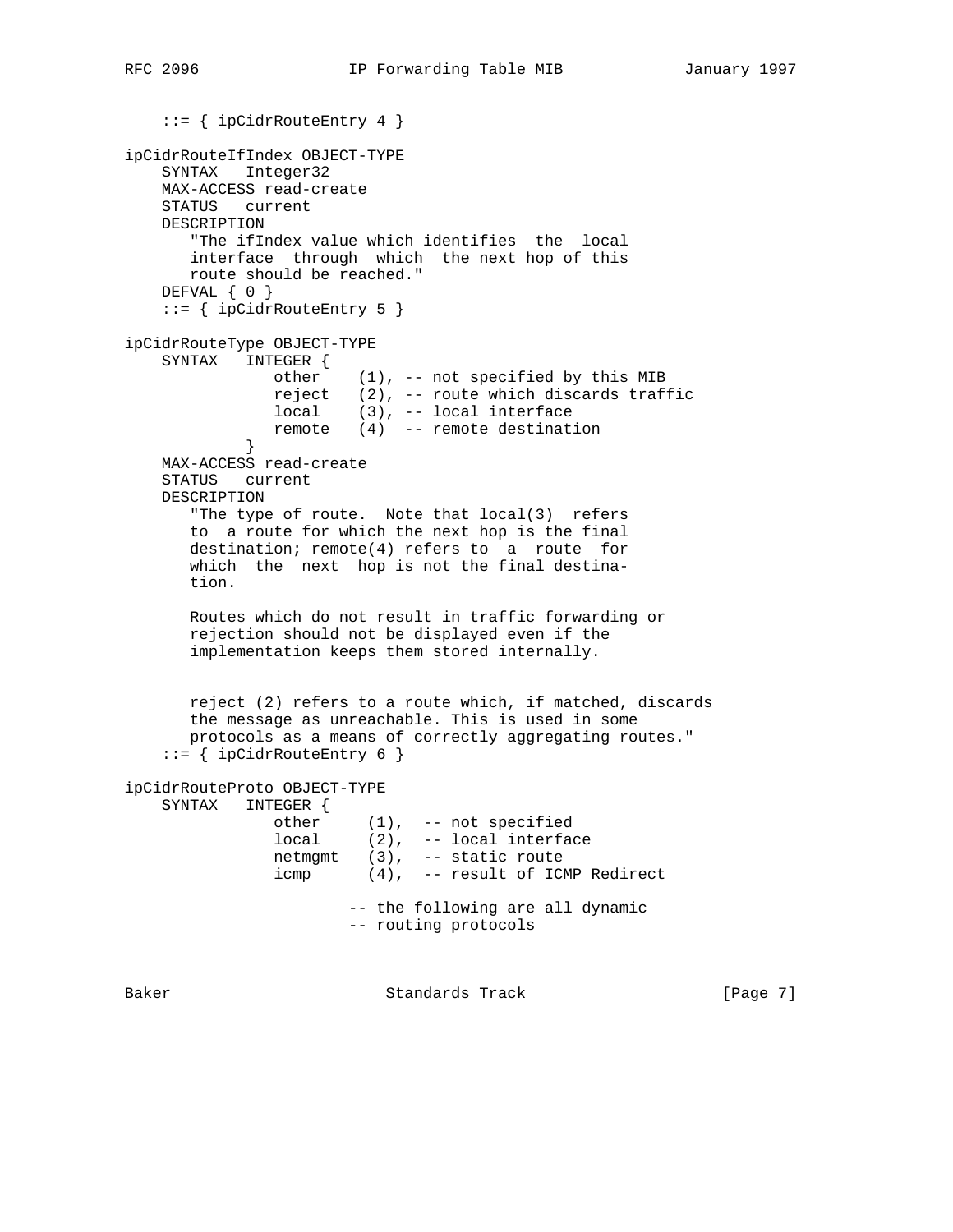```
 ::= { ipCidrRouteEntry 4 }
ipCidrRouteIfIndex OBJECT-TYPE
    SYNTAX Integer32
    MAX-ACCESS read-create
    STATUS current
    DESCRIPTION
       "The ifIndex value which identifies the local
       interface through which the next hop of this
       route should be reached."
    DEFVAL { 0 }
    ::= { ipCidrRouteEntry 5 }
ipCidrRouteType OBJECT-TYPE
    SYNTAX INTEGER {
               other (1), -- not specified by this MIB
                reject (2), -- route which discards traffic
                local (3), -- local interface
            remote (4) -- remote destination }
 }
    MAX-ACCESS read-create
    STATUS current
    DESCRIPTION
       "The type of route. Note that local(3) refers
       to a route for which the next hop is the final
       destination; remote(4) refers to a route for
       which the next hop is not the final destina-
       tion.
       Routes which do not result in traffic forwarding or
       rejection should not be displayed even if the
       implementation keeps them stored internally.
       reject (2) refers to a route which, if matched, discards
       the message as unreachable. This is used in some
       protocols as a means of correctly aggregating routes."
     ::= { ipCidrRouteEntry 6 }
ipCidrRouteProto OBJECT-TYPE
    SYNTAX INTEGER {
other (1), -- not specified
 local (2), -- local interface
                netmgmt (3), -- static route
                icmp (4), -- result of ICMP Redirect
                        -- the following are all dynamic
                        -- routing protocols
```
Baker Standards Track [Page 7]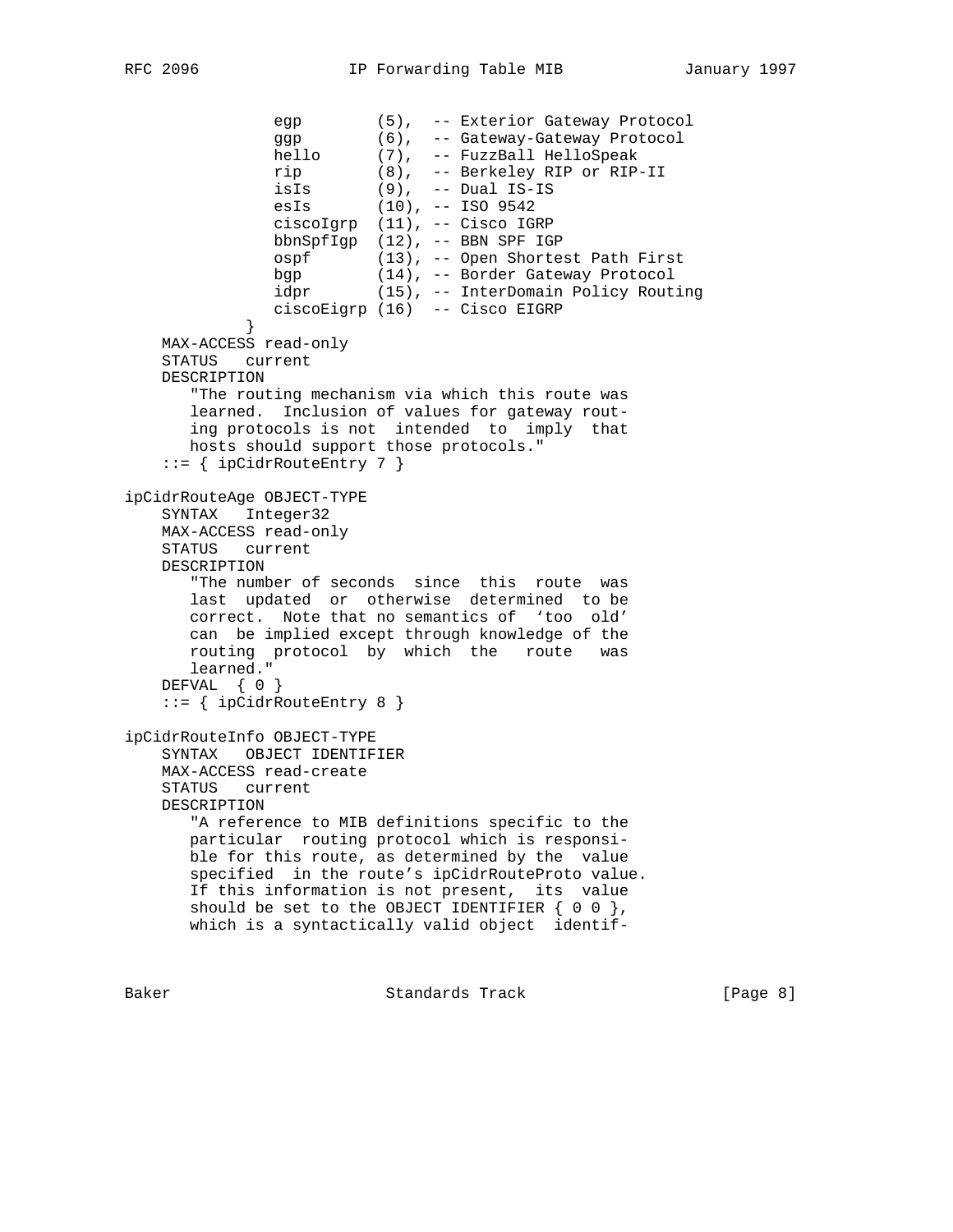```
 egp (5), -- Exterior Gateway Protocol
 ggp (6), -- Gateway-Gateway Protocol
 hello (7), -- FuzzBall HelloSpeak
               rip (8), -- Berkeley RIP or RIP-II
 isIs (9), -- Dual IS-IS
 esIs (10), -- ISO 9542
               ciscoIgrp (11), -- Cisco IGRP
               bbnSpfIgp (12), -- BBN SPF IGP
               ospf (13), -- Open Shortest Path First
               bgp (14), -- Border Gateway Protocol
              Dgp (11), 201001<br>idpr (15), -- InterDomain Policy Routing
            ciscoEigrp (16) -- Cisco EIGRP
 }
    MAX-ACCESS read-only
    STATUS current
    DESCRIPTION
       "The routing mechanism via which this route was
       learned. Inclusion of values for gateway rout-
       ing protocols is not intended to imply that
       hosts should support those protocols."
   ::= { ipCidrRouteEntry 7 }
ipCidrRouteAge OBJECT-TYPE
    SYNTAX Integer32
    MAX-ACCESS read-only
    STATUS current
    DESCRIPTION
       "The number of seconds since this route was
       last updated or otherwise determined to be
       correct. Note that no semantics of 'too old'
       can be implied except through knowledge of the
       routing protocol by which the route was
       learned."
   DEFVAL { 0 }
    ::= { ipCidrRouteEntry 8 }
ipCidrRouteInfo OBJECT-TYPE
    SYNTAX OBJECT IDENTIFIER
    MAX-ACCESS read-create
    STATUS current
    DESCRIPTION
       "A reference to MIB definitions specific to the
       particular routing protocol which is responsi-
       ble for this route, as determined by the value
       specified in the route's ipCidrRouteProto value.
       If this information is not present, its value
      should be set to the OBJECT IDENTIFIER \{ 0 0 \},
       which is a syntactically valid object identif-
```
Baker **Standards Track** [Page 8]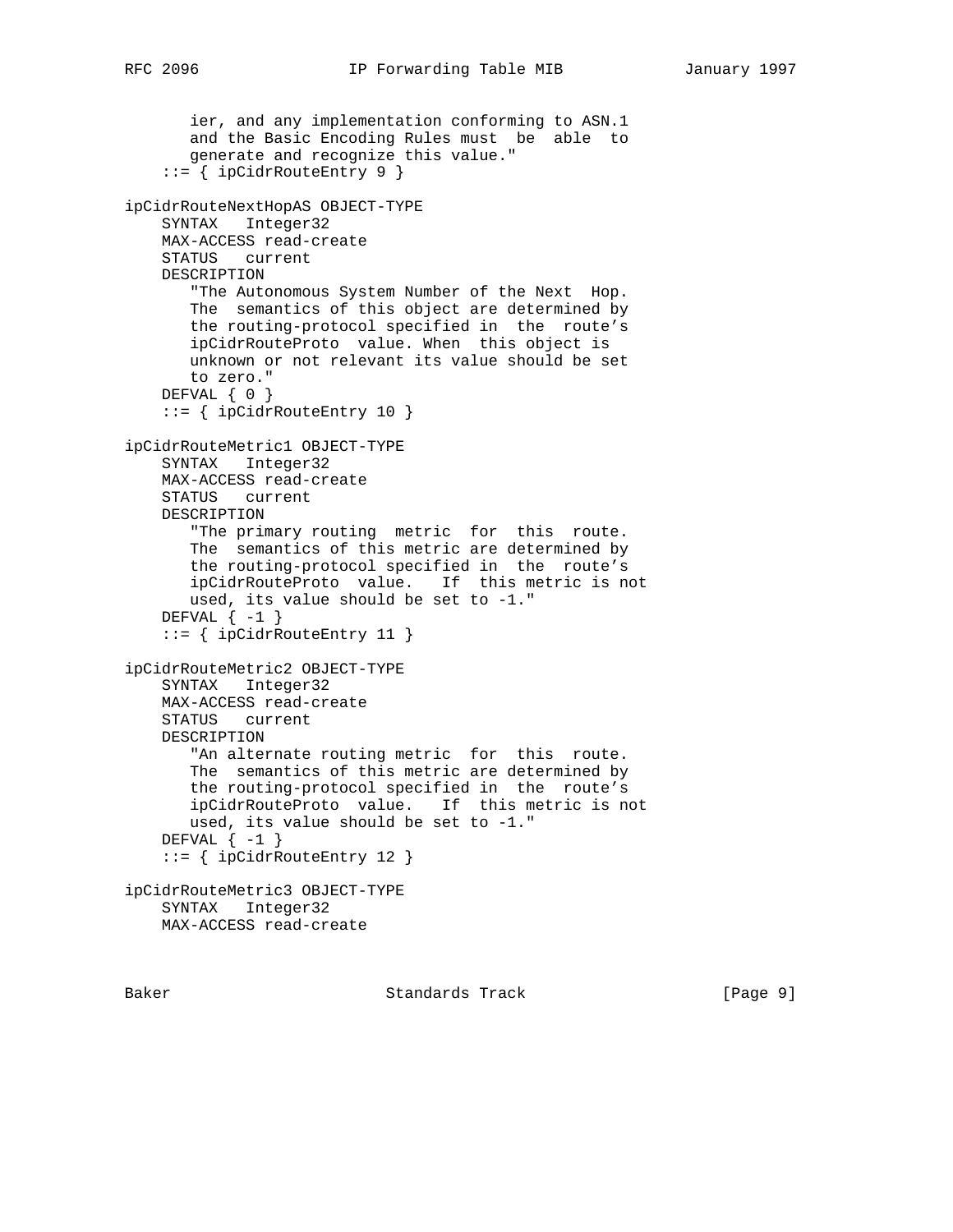```
 ier, and any implementation conforming to ASN.1
       and the Basic Encoding Rules must be able to
       generate and recognize this value."
     ::= { ipCidrRouteEntry 9 }
ipCidrRouteNextHopAS OBJECT-TYPE
     SYNTAX Integer32
    MAX-ACCESS read-create
    STATUS current
    DESCRIPTION
        "The Autonomous System Number of the Next Hop.
       The semantics of this object are determined by
       the routing-protocol specified in the route's
        ipCidrRouteProto value. When this object is
       unknown or not relevant its value should be set
       to zero."
   DEFVAL { 0 }
     ::= { ipCidrRouteEntry 10 }
ipCidrRouteMetric1 OBJECT-TYPE
    SYNTAX Integer32
    MAX-ACCESS read-create
    STATUS current
    DESCRIPTION
        "The primary routing metric for this route.
       The semantics of this metric are determined by
       the routing-protocol specified in the route's
       ipCidrRouteProto value. If this metric is not
       used, its value should be set to -1."
    DEFVAL \{-1\} ::= { ipCidrRouteEntry 11 }
ipCidrRouteMetric2 OBJECT-TYPE
     SYNTAX Integer32
    MAX-ACCESS read-create
    STATUS current
    DESCRIPTION
        "An alternate routing metric for this route.
       The semantics of this metric are determined by
       the routing-protocol specified in the route's
       ipCidrRouteProto value. If this metric is not
       used, its value should be set to -1."
    DEFVAL \{-1\} ::= { ipCidrRouteEntry 12 }
ipCidrRouteMetric3 OBJECT-TYPE
    SYNTAX Integer32
    MAX-ACCESS read-create
```
Baker Standards Track [Page 9]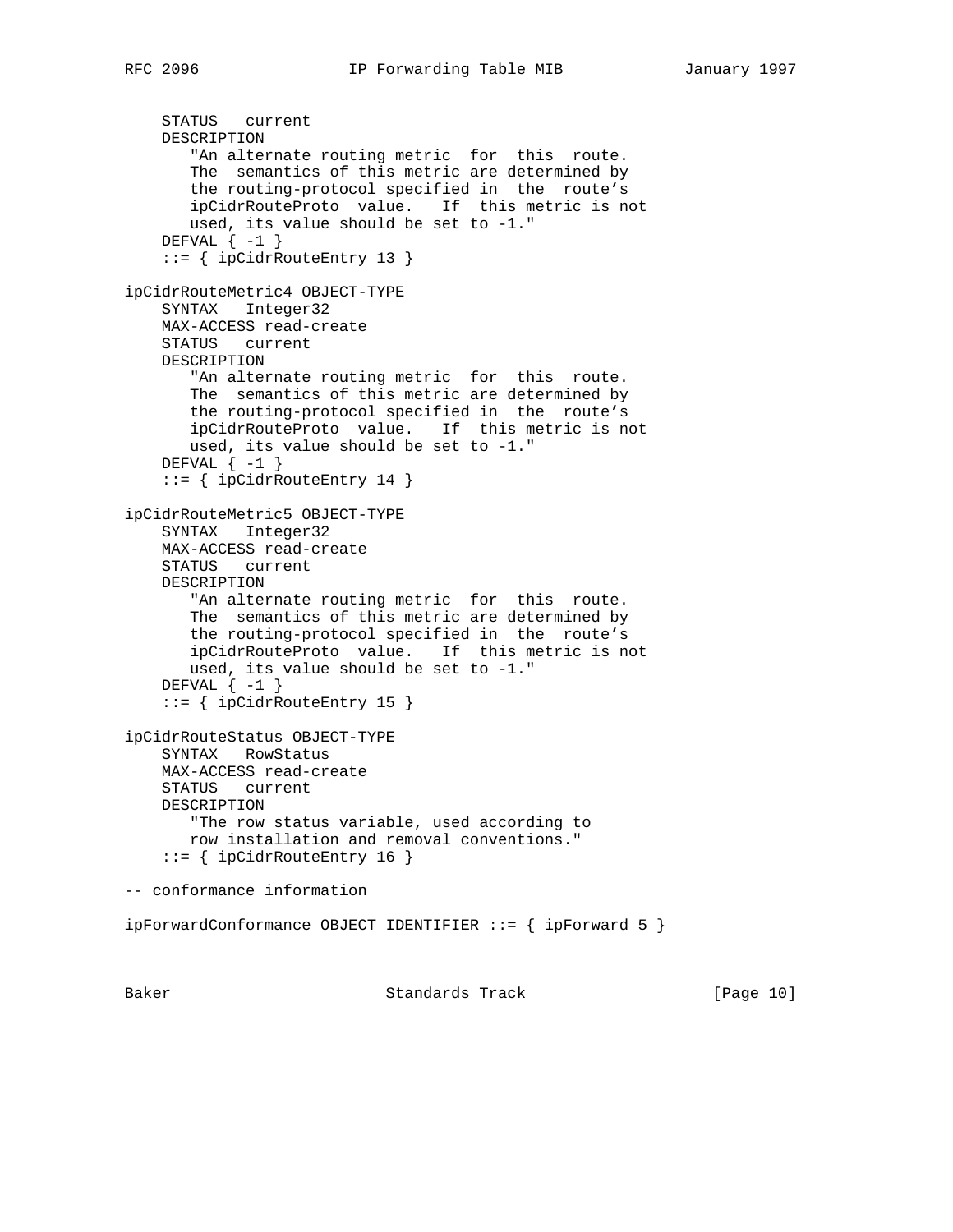```
 STATUS current
    DESCRIPTION
       "An alternate routing metric for this route.
       The semantics of this metric are determined by
       the routing-protocol specified in the route's
       ipCidrRouteProto value. If this metric is not
       used, its value should be set to -1."
   DEFVAL \{-1\} ::= { ipCidrRouteEntry 13 }
ipCidrRouteMetric4 OBJECT-TYPE
    SYNTAX Integer32
    MAX-ACCESS read-create
     STATUS current
    DESCRIPTION
        "An alternate routing metric for this route.
       The semantics of this metric are determined by
       the routing-protocol specified in the route's
       ipCidrRouteProto value. If this metric is not
       used, its value should be set to -1."
    DEFVAL \{-1\} ::= { ipCidrRouteEntry 14 }
ipCidrRouteMetric5 OBJECT-TYPE
     SYNTAX Integer32
    MAX-ACCESS read-create
    STATUS current
    DESCRIPTION
        "An alternate routing metric for this route.
       The semantics of this metric are determined by
       the routing-protocol specified in the route's
       ipCidrRouteProto value. If this metric is not
       used, its value should be set to -1."
    DEFVAL \{-1\} ::= { ipCidrRouteEntry 15 }
ipCidrRouteStatus OBJECT-TYPE
     SYNTAX RowStatus
    MAX-ACCESS read-create
     STATUS current
    DESCRIPTION
        "The row status variable, used according to
```

```
 row installation and removal conventions."
 ::= { ipCidrRouteEntry 16 }
```
-- conformance information

ipForwardConformance OBJECT IDENTIFIER ::= { ipForward 5 }

Baker Standards Track [Page 10]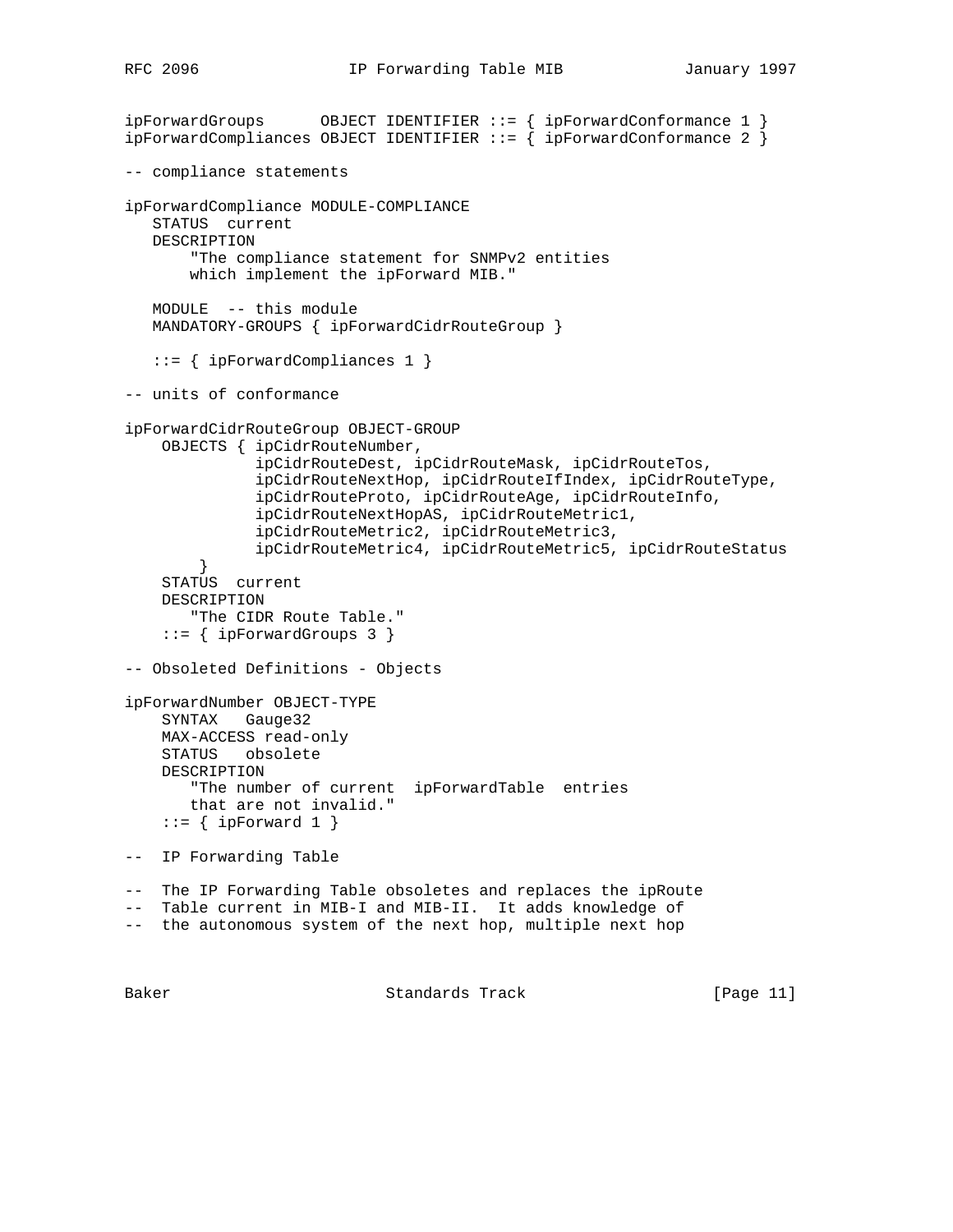```
ipForwardGroups OBJECT IDENTIFIER ::= { ipForwardConformance 1 }
ipForwardCompliances OBJECT IDENTIFIER ::= { ipForwardConformance 2 }
-- compliance statements
ipForwardCompliance MODULE-COMPLIANCE
   STATUS current
   DESCRIPTION
        "The compliance statement for SNMPv2 entities
       which implement the ipForward MIB."
   MODULE -- this module
   MANDATORY-GROUPS { ipForwardCidrRouteGroup }
    ::= { ipForwardCompliances 1 }
-- units of conformance
ipForwardCidrRouteGroup OBJECT-GROUP
     OBJECTS { ipCidrRouteNumber,
               ipCidrRouteDest, ipCidrRouteMask, ipCidrRouteTos,
               ipCidrRouteNextHop, ipCidrRouteIfIndex, ipCidrRouteType,
               ipCidrRouteProto, ipCidrRouteAge, ipCidrRouteInfo,
               ipCidrRouteNextHopAS, ipCidrRouteMetric1,
               ipCidrRouteMetric2, ipCidrRouteMetric3,
               ipCidrRouteMetric4, ipCidrRouteMetric5, ipCidrRouteStatus
 }
     STATUS current
    DESCRIPTION
        "The CIDR Route Table."
     ::= { ipForwardGroups 3 }
-- Obsoleted Definitions - Objects
ipForwardNumber OBJECT-TYPE
    SYNTAX Gauge32
    MAX-ACCESS read-only
    STATUS obsolete
    DESCRIPTION
        "The number of current ipForwardTable entries
       that are not invalid."
    ::= { ipForward 1 }
-- IP Forwarding Table
-- The IP Forwarding Table obsoletes and replaces the ipRoute
-- Table current in MIB-I and MIB-II. It adds knowledge of
-- the autonomous system of the next hop, multiple next hop
```
Baker Standards Track [Page 11]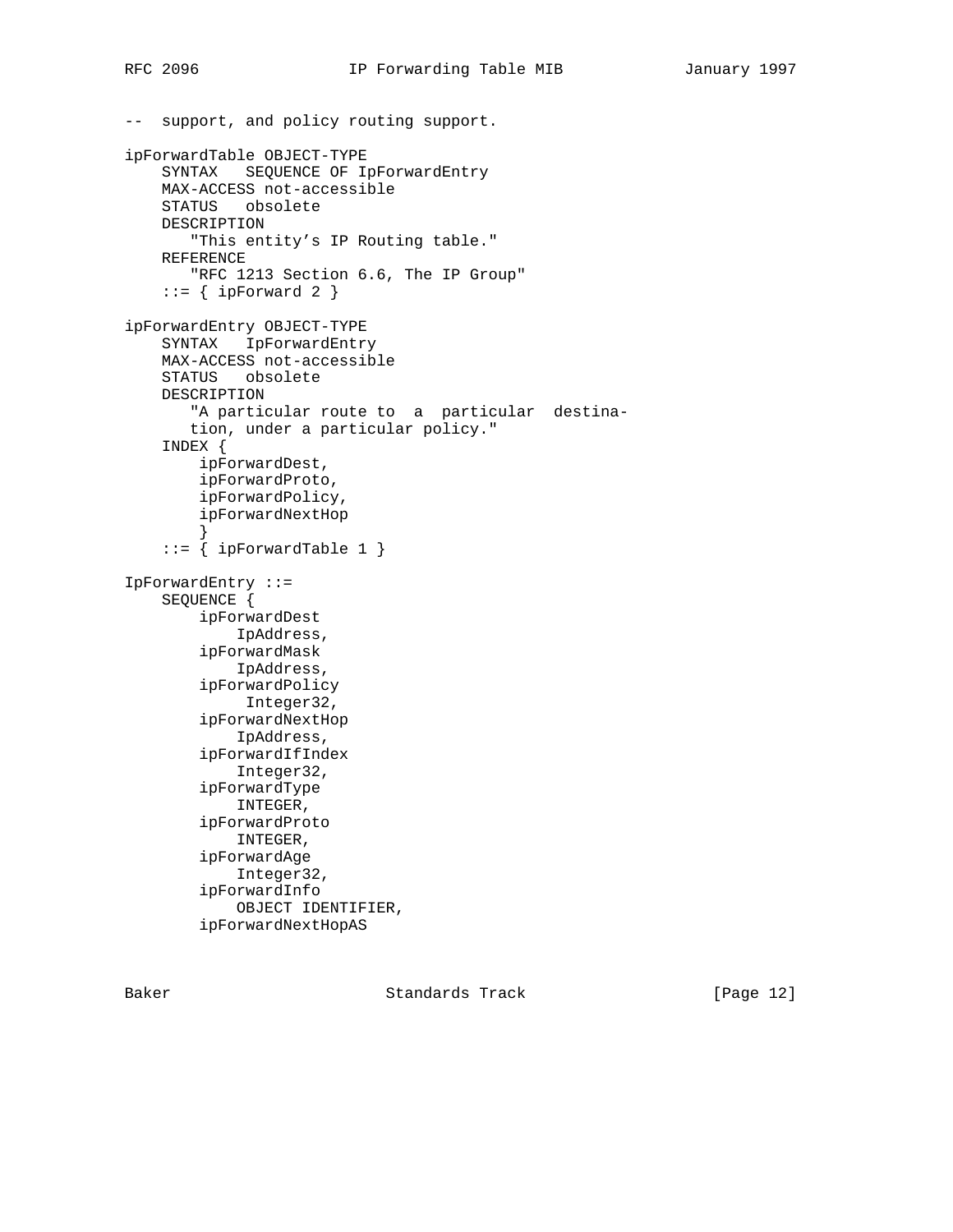```
-- support, and policy routing support.
ipForwardTable OBJECT-TYPE
     SYNTAX SEQUENCE OF IpForwardEntry
     MAX-ACCESS not-accessible
     STATUS obsolete
    DESCRIPTION
        "This entity's IP Routing table."
     REFERENCE
        "RFC 1213 Section 6.6, The IP Group"
    ::= { ipForward 2 }
ipForwardEntry OBJECT-TYPE
     SYNTAX IpForwardEntry
     MAX-ACCESS not-accessible
     STATUS obsolete
     DESCRIPTION
        "A particular route to a particular destina-
        tion, under a particular policy."
     INDEX {
         ipForwardDest,
         ipForwardProto,
         ipForwardPolicy,
         ipForwardNextHop
 }
    ::= { ipForwardTable 1 }
IpForwardEntry ::=
     SEQUENCE {
         ipForwardDest
             IpAddress,
         ipForwardMask
             IpAddress,
         ipForwardPolicy
             Integer32,
         ipForwardNextHop
             IpAddress,
         ipForwardIfIndex
             Integer32,
         ipForwardType
             INTEGER,
         ipForwardProto
             INTEGER,
         ipForwardAge
             Integer32,
         ipForwardInfo
             OBJECT IDENTIFIER,
         ipForwardNextHopAS
```
Baker Standards Track [Page 12]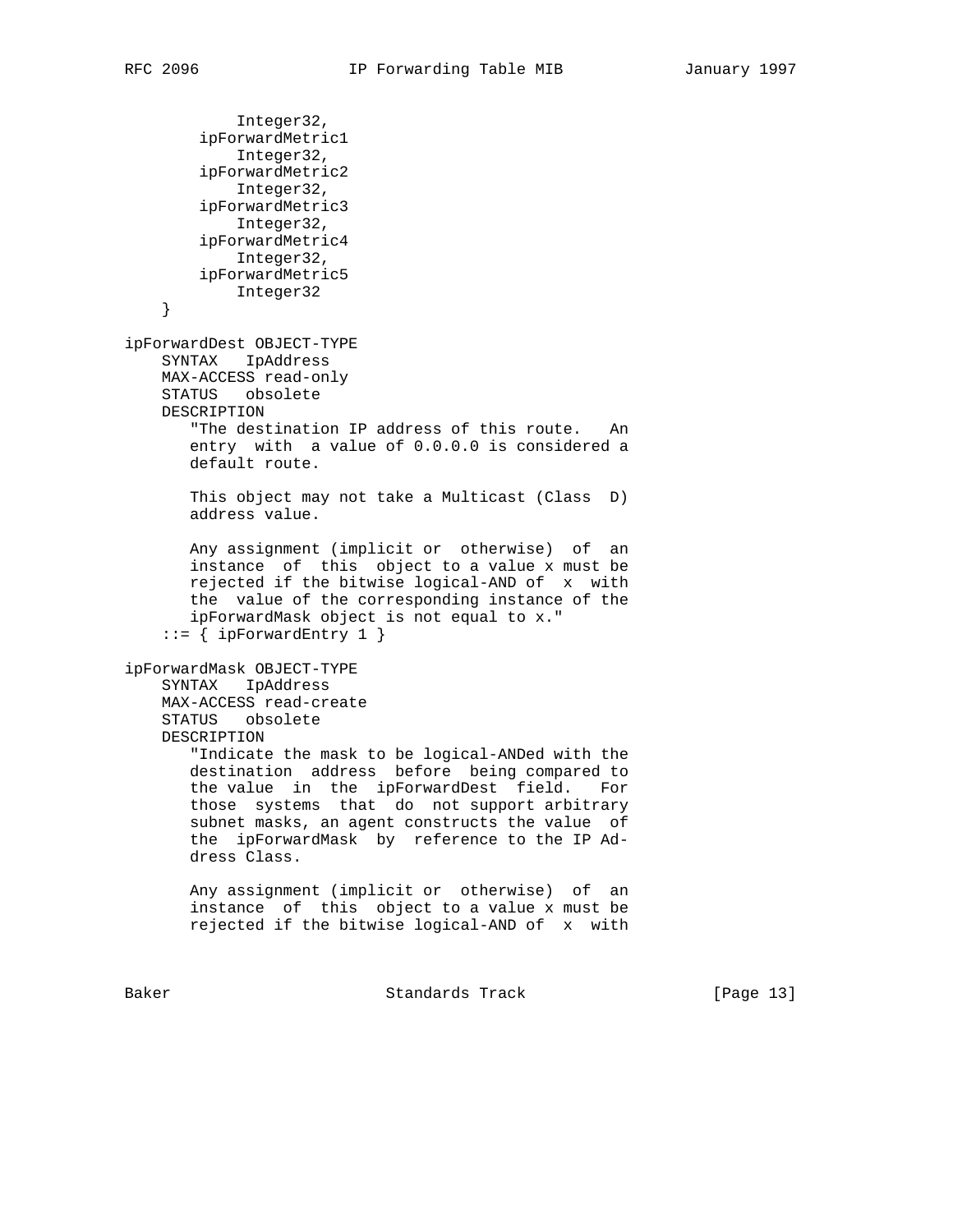```
 Integer32,
         ipForwardMetric1
            Integer32,
         ipForwardMetric2
            Integer32,
        ipForwardMetric3
            Integer32,
        ipForwardMetric4
            Integer32,
        ipForwardMetric5
            Integer32
     }
ipForwardDest OBJECT-TYPE
     SYNTAX IpAddress
    MAX-ACCESS read-only
    STATUS obsolete
    DESCRIPTION
       "The destination IP address of this route. An
       entry with a value of 0.0.0.0 is considered a
       default route.
       This object may not take a Multicast (Class D)
       address value.
       Any assignment (implicit or otherwise) of an
       instance of this object to a value x must be
       rejected if the bitwise logical-AND of x with
       the value of the corresponding instance of the
        ipForwardMask object is not equal to x."
    ::= { ipForwardEntry 1 }
ipForwardMask OBJECT-TYPE
     SYNTAX IpAddress
    MAX-ACCESS read-create
    STATUS obsolete
    DESCRIPTION
        "Indicate the mask to be logical-ANDed with the
       destination address before being compared to
       the value in the ipForwardDest field. For
       those systems that do not support arbitrary
       subnet masks, an agent constructs the value of
       the ipForwardMask by reference to the IP Ad-
       dress Class.
       Any assignment (implicit or otherwise) of an
       instance of this object to a value x must be
       rejected if the bitwise logical-AND of x with
```
Baker Standards Track [Page 13]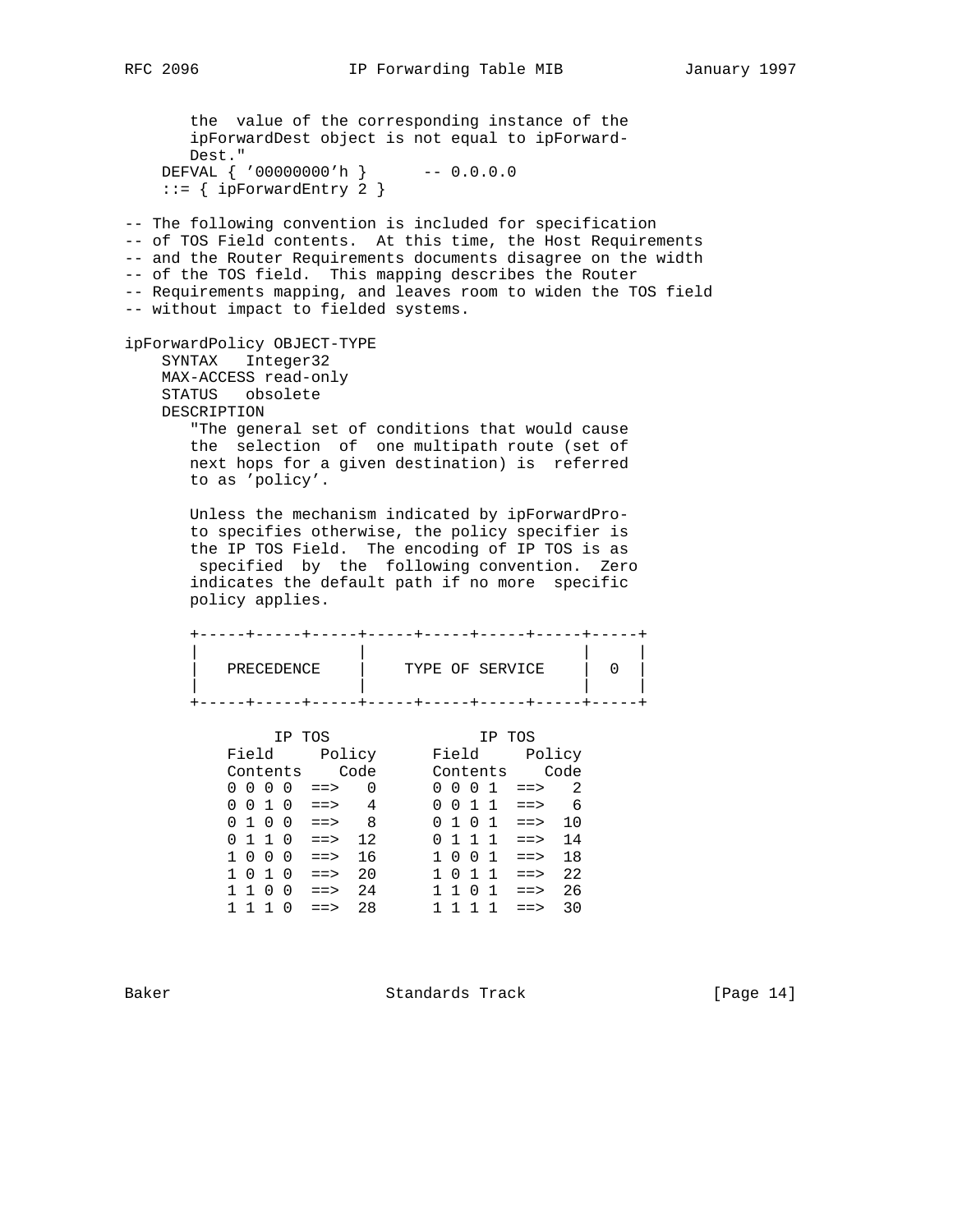```
 the value of the corresponding instance of the
      ipForwardDest object is not equal to ipForward-
      Dest."
    DEFVAL { '00000000'h } -- 0.0.0.0
   ::= { ipForwardEntry 2 }
-- The following convention is included for specification
-- of TOS Field contents. At this time, the Host Requirements
-- and the Router Requirements documents disagree on the width
-- of the TOS field. This mapping describes the Router
-- Requirements mapping, and leaves room to widen the TOS field
-- without impact to fielded systems.
ipForwardPolicy OBJECT-TYPE
    SYNTAX Integer32
    MAX-ACCESS read-only
    STATUS obsolete
    DESCRIPTION
      "The general set of conditions that would cause
      the selection of one multipath route (set of
      next hops for a given destination) is referred
      to as 'policy'.
      Unless the mechanism indicated by ipForwardPro-
      to specifies otherwise, the policy specifier is
      the IP TOS Field. The encoding of IP TOS is as
       specified by the following convention. Zero
      indicates the default path if no more specific
      policy applies.
      +-----+-----+-----+-----+-----+-----+-----+-----+
 | | | |
 | PRECEDENCE | TYPE OF SERVICE | 0 |
 | | | |
      +-----+-----+-----+-----+-----+-----+-----+-----+
 IP TOS IP TOS
 Field Policy Field Policy
 Contents Code Contents Code
0 \t0 \t0 \t0 \t1 \t= > 0 0 0 0 1 ==> 2
 0 0 1 0 ==> 4 0 0 1 1 ==> 6
0 1 0 0 ==> 8 0 1 0 1 ==> 10
 0 1 1 0 ==> 12 0 1 1 1 ==> 14
 1 0 0 0 ==> 16 1 0 0 1 ==> 18
 1 0 1 0 ==> 20 1 0 1 1 ==> 22
```
Baker Standards Track [Page 14]

 1 1 0 0 ==> 24 1 1 0 1 ==> 26 1 1 1 0 ==> 28 1 1 1 1 ==> 30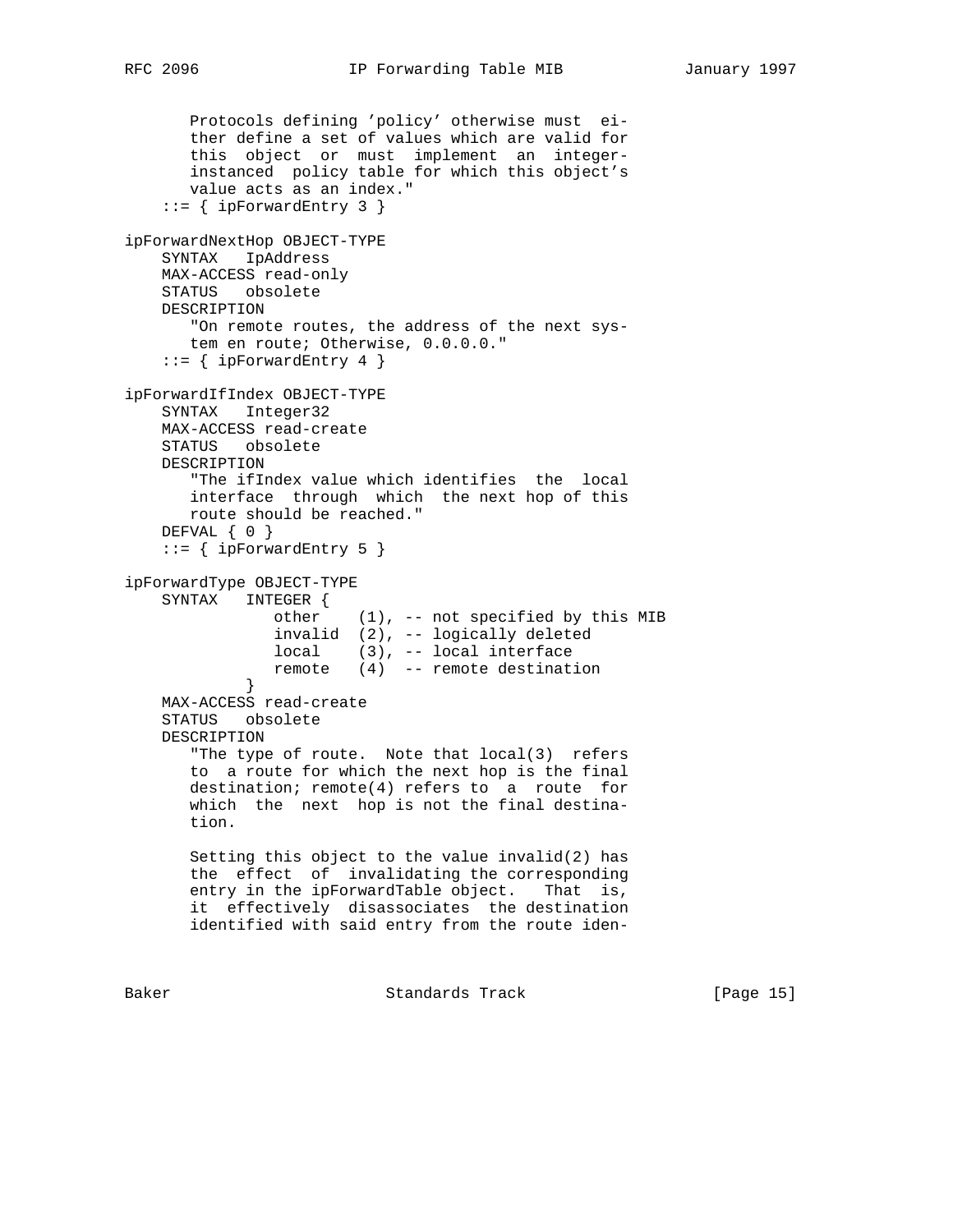```
 Protocols defining 'policy' otherwise must ei-
       ther define a set of values which are valid for
       this object or must implement an integer-
       instanced policy table for which this object's
       value acts as an index."
    ::= { ipForwardEntry 3 }
ipForwardNextHop OBJECT-TYPE
    SYNTAX IpAddress
    MAX-ACCESS read-only
    STATUS obsolete
    DESCRIPTION
       "On remote routes, the address of the next sys-
       tem en route; Otherwise, 0.0.0.0."
    ::= { ipForwardEntry 4 }
ipForwardIfIndex OBJECT-TYPE
    SYNTAX Integer32
    MAX-ACCESS read-create
    STATUS obsolete
    DESCRIPTION
       "The ifIndex value which identifies the local
       interface through which the next hop of this
       route should be reached."
    DEFVAL { 0 }
    ::= { ipForwardEntry 5 }
ipForwardType OBJECT-TYPE
    SYNTAX INTEGER {
                other (1), -- not specified by this MIB
                invalid (2), -- logically deleted
                local (3), -- local interface
                remote (4) -- remote destination
 }
    MAX-ACCESS read-create
    STATUS obsolete
    DESCRIPTION
       "The type of route. Note that local(3) refers
       to a route for which the next hop is the final
       destination; remote(4) refers to a route for
       which the next hop is not the final destina-
       tion.
       Setting this object to the value invalid(2) has
       the effect of invalidating the corresponding
       entry in the ipForwardTable object. That is,
       it effectively disassociates the destination
       identified with said entry from the route iden-
```
Baker Standards Track [Page 15]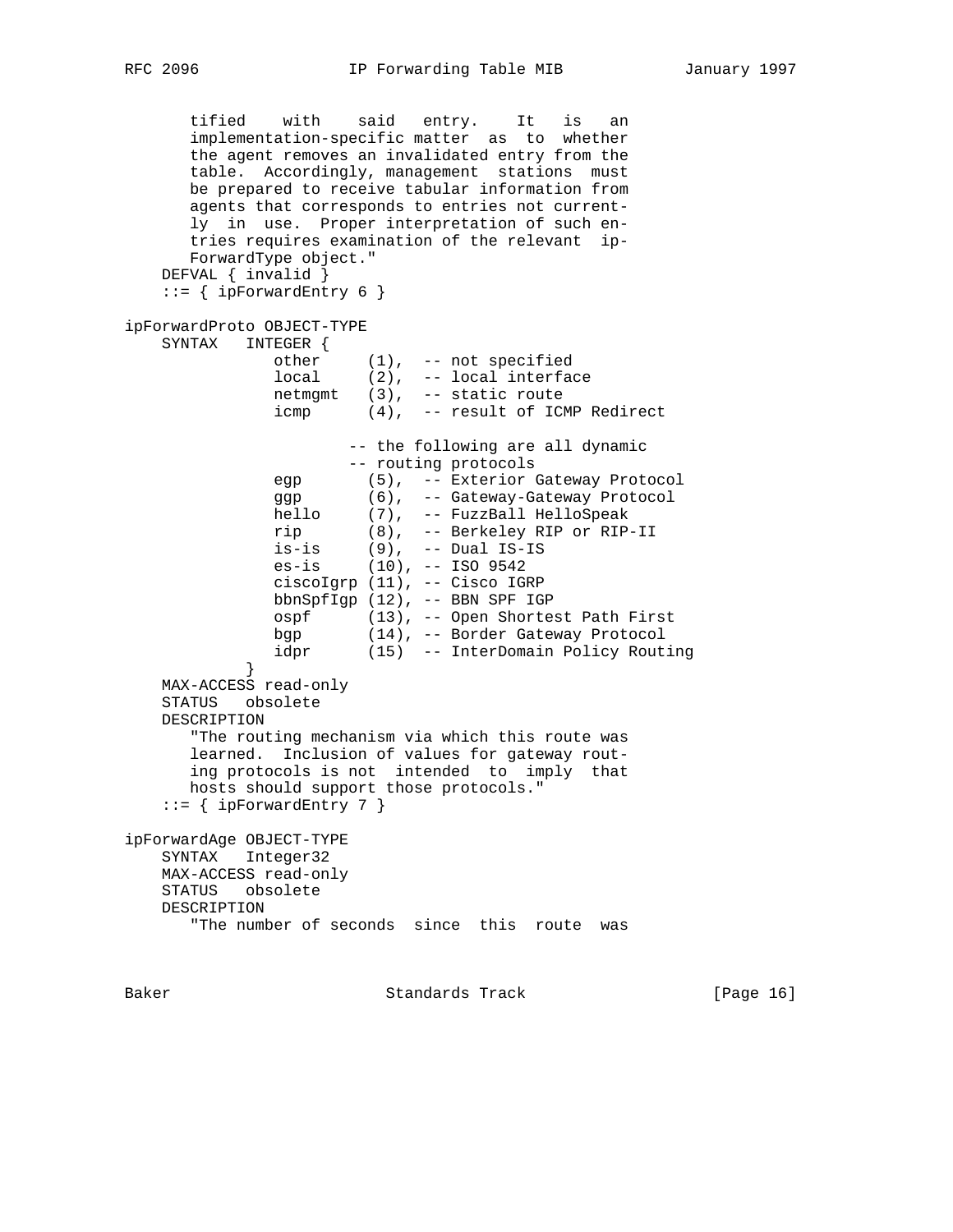```
 tified with said entry. It is an
       implementation-specific matter as to whether
       the agent removes an invalidated entry from the
       table. Accordingly, management stations must
       be prepared to receive tabular information from
       agents that corresponds to entries not current-
       ly in use. Proper interpretation of such en-
       tries requires examination of the relevant ip-
       ForwardType object."
    DEFVAL { invalid }
   ::= { ipForwardEntry 6 }
ipForwardProto OBJECT-TYPE
    SYNTAX INTEGER {
other (1), -- not specified
 local (2), -- local interface
              netmgmt (3), - static route<br>icmp (4), - result of ICN
                      (4), -- result of ICMP Redirect
                      -- the following are all dynamic
                      -- routing protocols
 egp (5), -- Exterior Gateway Protocol
 ggp (6), -- Gateway-Gateway Protocol
 hello (7), -- FuzzBall HelloSpeak
 rip (8), -- Berkeley RIP or RIP-II
 is-is (9), -- Dual IS-IS
 es-is (10), -- ISO 9542
               ciscoIgrp (11), -- Cisco IGRP
               bbnSpfIgp (12), -- BBN SPF IGP
               ospf (13), -- Open Shortest Path First
               bgp (14), -- Border Gateway Protocol
               idpr (15) -- InterDomain Policy Routing
 }
    MAX-ACCESS read-only
    STATUS obsolete
    DESCRIPTION
       "The routing mechanism via which this route was
       learned. Inclusion of values for gateway rout-
       ing protocols is not intended to imply that
       hosts should support those protocols."
   ::= { ipForwardEntry 7 }
ipForwardAge OBJECT-TYPE
    SYNTAX Integer32
    MAX-ACCESS read-only
    STATUS obsolete
    DESCRIPTION
       "The number of seconds since this route was
```
Baker Standards Track [Page 16]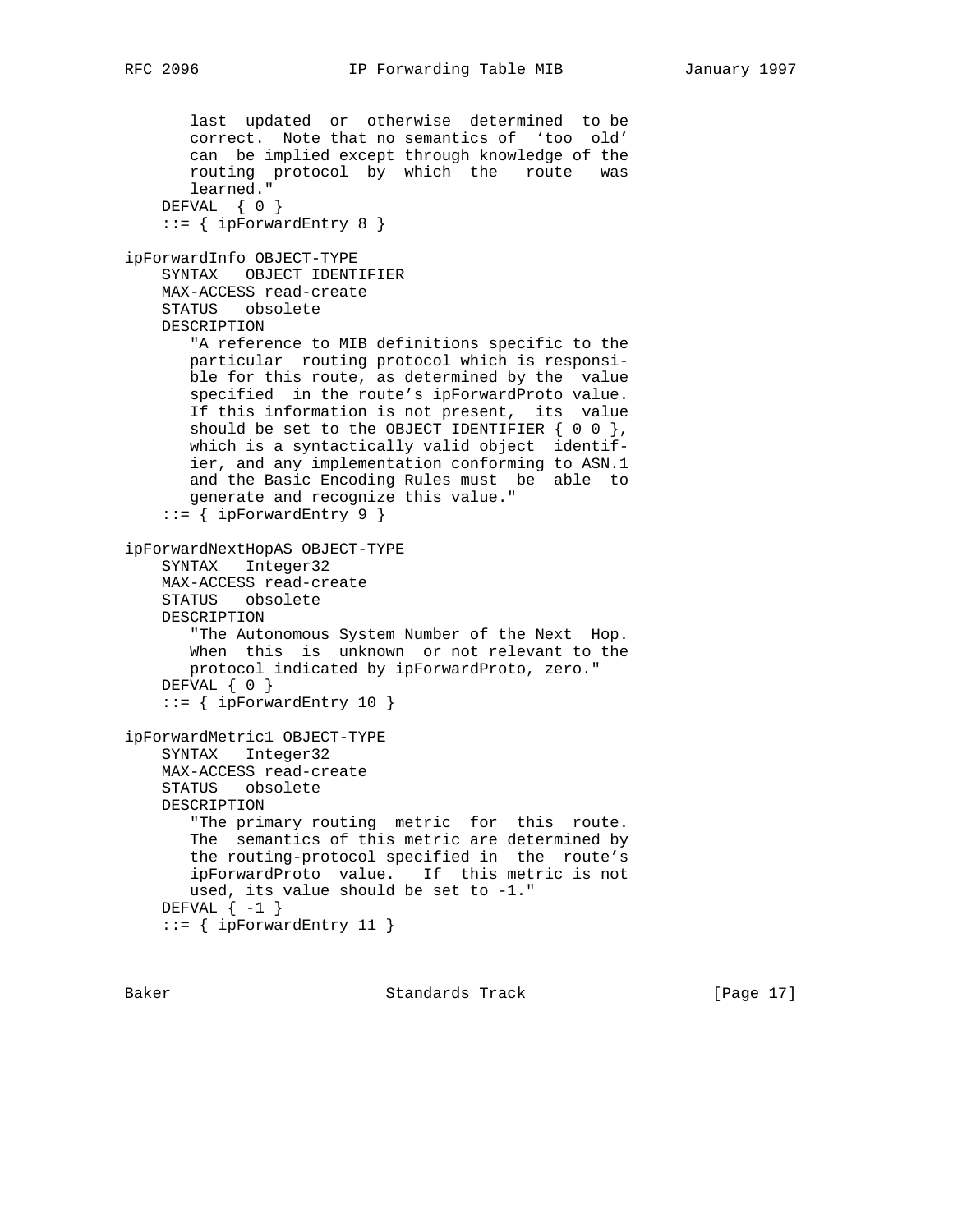```
 last updated or otherwise determined to be
       correct. Note that no semantics of 'too old'
       can be implied except through knowledge of the
 routing protocol by which the route was
 learned."
   DEFVAL { 0 }
     ::= { ipForwardEntry 8 }
ipForwardInfo OBJECT-TYPE
    SYNTAX OBJECT IDENTIFIER
    MAX-ACCESS read-create
    STATUS obsolete
    DESCRIPTION
       "A reference to MIB definitions specific to the
       particular routing protocol which is responsi-
       ble for this route, as determined by the value
       specified in the route's ipForwardProto value.
       If this information is not present, its value
      should be set to the OBJECT IDENTIFIER \{ 0 0 \},
       which is a syntactically valid object identif-
       ier, and any implementation conforming to ASN.1
       and the Basic Encoding Rules must be able to
       generate and recognize this value."
    ::= { ipForwardEntry 9 }
ipForwardNextHopAS OBJECT-TYPE
    SYNTAX Integer32
    MAX-ACCESS read-create
    STATUS obsolete
    DESCRIPTION
       "The Autonomous System Number of the Next Hop.
       When this is unknown or not relevant to the
       protocol indicated by ipForwardProto, zero."
    DEFVAL { 0 }
     ::= { ipForwardEntry 10 }
ipForwardMetric1 OBJECT-TYPE
    SYNTAX Integer32
    MAX-ACCESS read-create
    STATUS obsolete
    DESCRIPTION
       "The primary routing metric for this route.
       The semantics of this metric are determined by
       the routing-protocol specified in the route's
       ipForwardProto value. If this metric is not
       used, its value should be set to -1."
   DEFVAL \{-1\}::= { ipForwardEntry 11 }
```
Baker Standards Track [Page 17]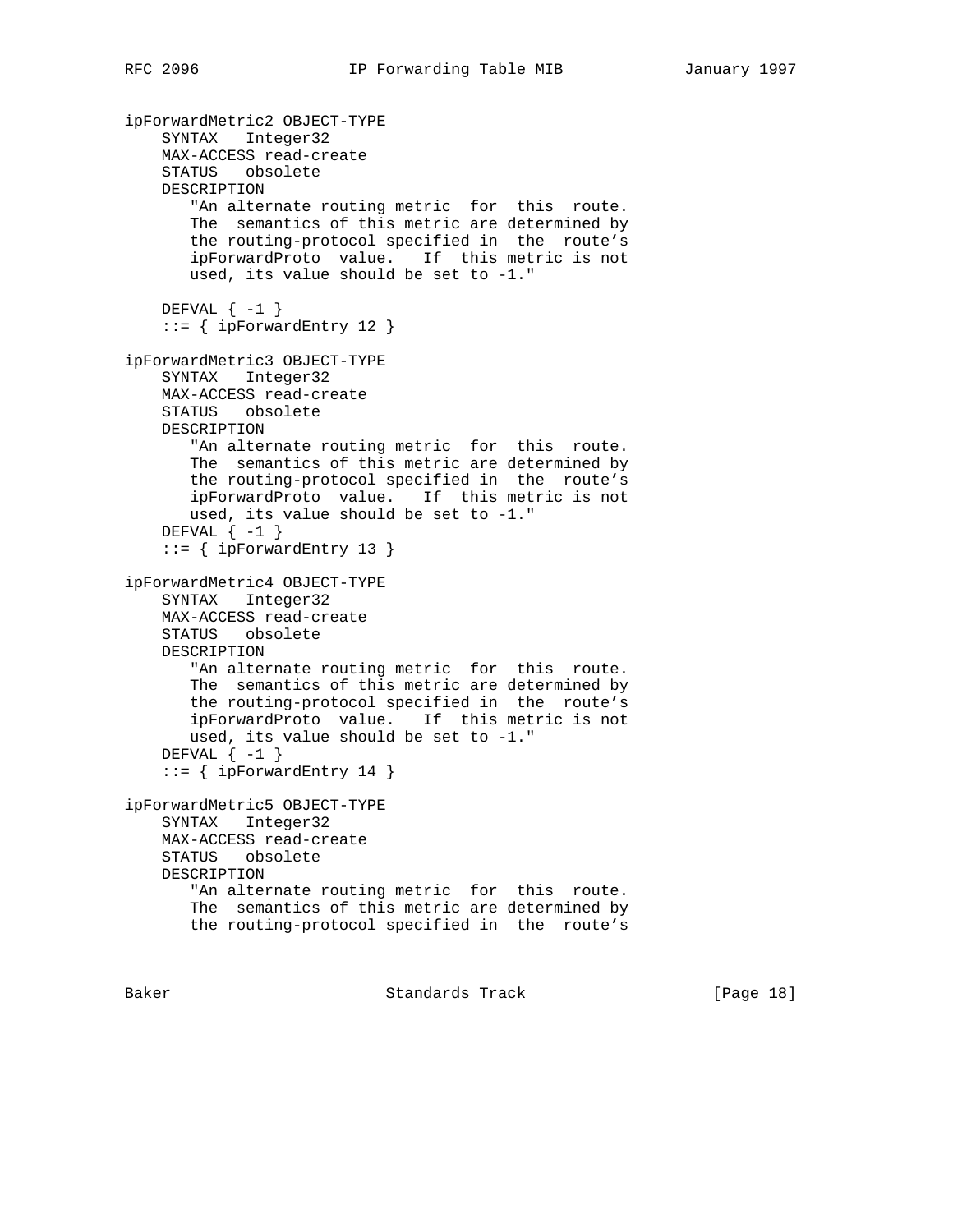```
ipForwardMetric2 OBJECT-TYPE
    SYNTAX Integer32
    MAX-ACCESS read-create
    STATUS obsolete
    DESCRIPTION
       "An alternate routing metric for this route.
       The semantics of this metric are determined by
       the routing-protocol specified in the route's
       ipForwardProto value. If this metric is not
       used, its value should be set to -1."
   DEFVAL \{-1\}::= { ipForwardEntry 12 }
ipForwardMetric3 OBJECT-TYPE
    SYNTAX Integer32
    MAX-ACCESS read-create
    STATUS obsolete
    DESCRIPTION
       "An alternate routing metric for this route.
       The semantics of this metric are determined by
       the routing-protocol specified in the route's
       ipForwardProto value. If this metric is not
       used, its value should be set to -1."
   DEFVAL \{-1\}::= { ipForwardEntry 13 }
ipForwardMetric4 OBJECT-TYPE
    SYNTAX Integer32
    MAX-ACCESS read-create
    STATUS obsolete
    DESCRIPTION
       "An alternate routing metric for this route.
       The semantics of this metric are determined by
       the routing-protocol specified in the route's
       ipForwardProto value. If this metric is not
       used, its value should be set to -1."
   DEFVAL \{-1\}::= { ipForwardEntry 14 }
ipForwardMetric5 OBJECT-TYPE
    SYNTAX Integer32
    MAX-ACCESS read-create
    STATUS obsolete
    DESCRIPTION
       "An alternate routing metric for this route.
       The semantics of this metric are determined by
       the routing-protocol specified in the route's
```
Baker **Standards Track** [Page 18]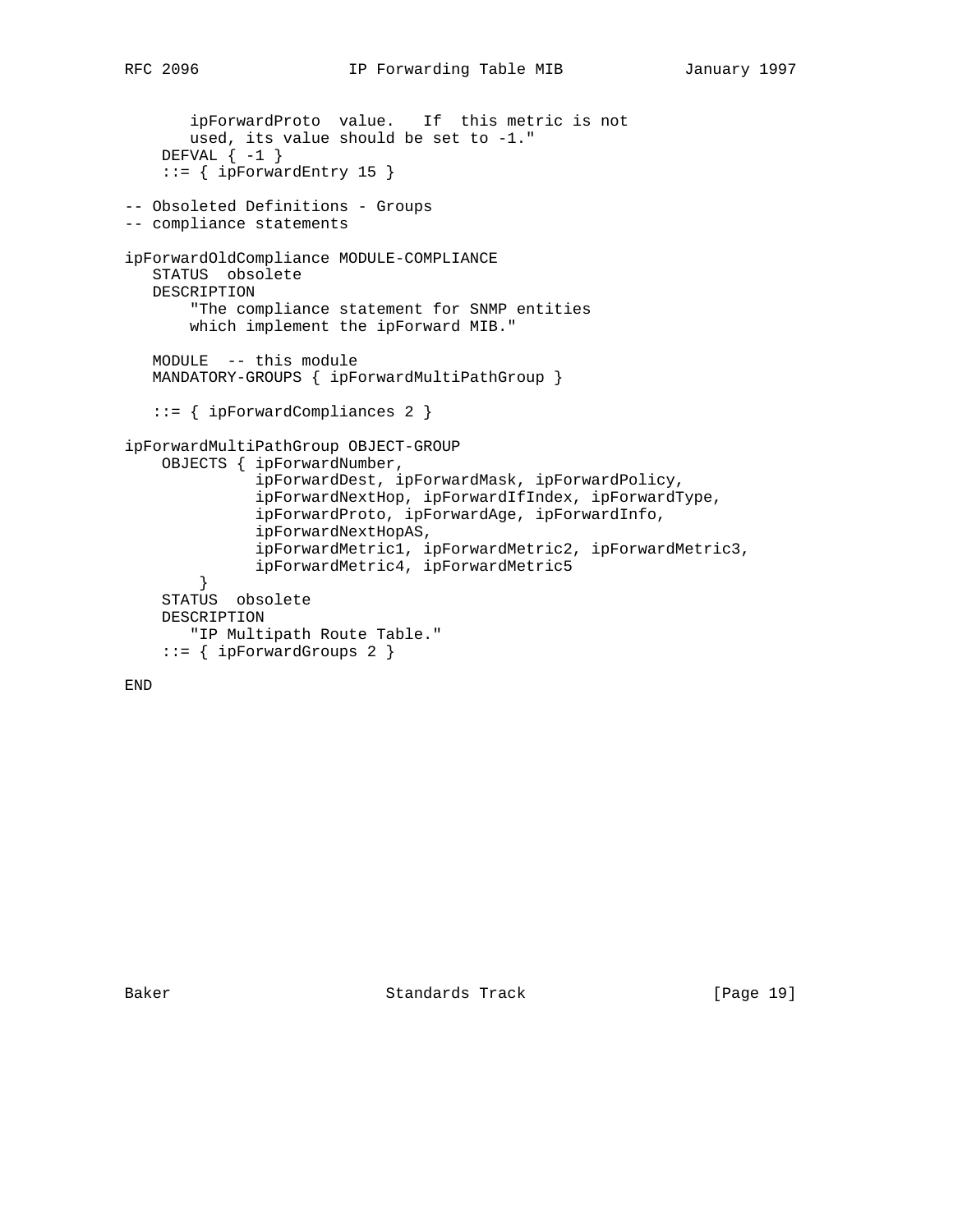```
 ipForwardProto value. If this metric is not
 used, its value should be set to -1."
 DEFVAL { -1 }
     ::= { ipForwardEntry 15 }
-- Obsoleted Definitions - Groups
-- compliance statements
ipForwardOldCompliance MODULE-COMPLIANCE
   STATUS obsolete
   DESCRIPTION
        "The compliance statement for SNMP entities
       which implement the ipForward MIB."
   MODULE -- this module
   MANDATORY-GROUPS { ipForwardMultiPathGroup }
    ::= { ipForwardCompliances 2 }
ipForwardMultiPathGroup OBJECT-GROUP
```

```
 OBJECTS { ipForwardNumber,
              ipForwardDest, ipForwardMask, ipForwardPolicy,
              ipForwardNextHop, ipForwardIfIndex, ipForwardType,
              ipForwardProto, ipForwardAge, ipForwardInfo,
              ipForwardNextHopAS,
 ipForwardMetric1, ipForwardMetric2, ipForwardMetric3,
 ipForwardMetric4, ipForwardMetric5
        }
    STATUS obsolete
    DESCRIPTION
       "IP Multipath Route Table."
   ::= { ipForwardGroups 2 }
```

```
END
```
Baker Standards Track [Page 19]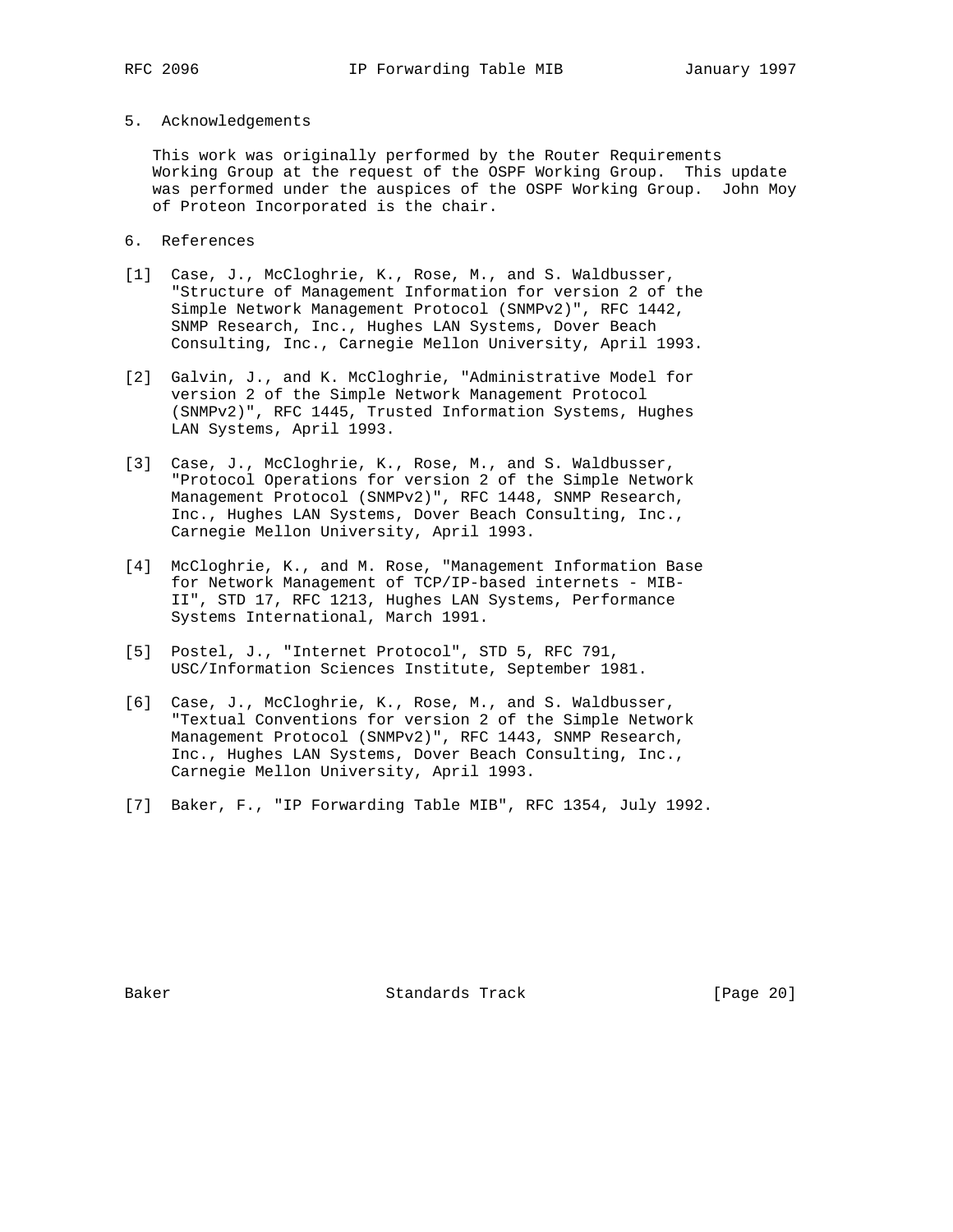### 5. Acknowledgements

 This work was originally performed by the Router Requirements Working Group at the request of the OSPF Working Group. This update was performed under the auspices of the OSPF Working Group. John Moy of Proteon Incorporated is the chair.

- 6. References
- [1] Case, J., McCloghrie, K., Rose, M., and S. Waldbusser, "Structure of Management Information for version 2 of the Simple Network Management Protocol (SNMPv2)", RFC 1442, SNMP Research, Inc., Hughes LAN Systems, Dover Beach Consulting, Inc., Carnegie Mellon University, April 1993.
- [2] Galvin, J., and K. McCloghrie, "Administrative Model for version 2 of the Simple Network Management Protocol (SNMPv2)", RFC 1445, Trusted Information Systems, Hughes LAN Systems, April 1993.
- [3] Case, J., McCloghrie, K., Rose, M., and S. Waldbusser, "Protocol Operations for version 2 of the Simple Network Management Protocol (SNMPv2)", RFC 1448, SNMP Research, Inc., Hughes LAN Systems, Dover Beach Consulting, Inc., Carnegie Mellon University, April 1993.
- [4] McCloghrie, K., and M. Rose, "Management Information Base for Network Management of TCP/IP-based internets - MIB- II", STD 17, RFC 1213, Hughes LAN Systems, Performance Systems International, March 1991.
- [5] Postel, J., "Internet Protocol", STD 5, RFC 791, USC/Information Sciences Institute, September 1981.
- [6] Case, J., McCloghrie, K., Rose, M., and S. Waldbusser, "Textual Conventions for version 2 of the Simple Network Management Protocol (SNMPv2)", RFC 1443, SNMP Research, Inc., Hughes LAN Systems, Dover Beach Consulting, Inc., Carnegie Mellon University, April 1993.
- [7] Baker, F., "IP Forwarding Table MIB", RFC 1354, July 1992.

Baker Standards Track [Page 20]